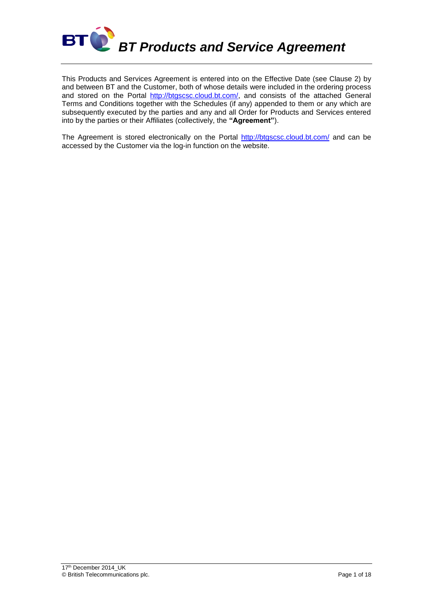

This Products and Services Agreement is entered into on the Effective Date (see Clause 2) by and between BT and the Customer, both of whose details were included in the ordering process and stored on the Portal [http://btgscsc.cloud.bt.com/,](http://btgscsc.cloud.bt.com/) and consists of the attached General Terms and Conditions together with the Schedules (if any) appended to them or any which are subsequently executed by the parties and any and all Order for Products and Services entered into by the parties or their Affiliates (collectively, the **"Agreement"**).

The Agreement is stored electronically on the Portal<http://btgscsc.cloud.bt.com/> and can be accessed by the Customer via the log-in function on the website.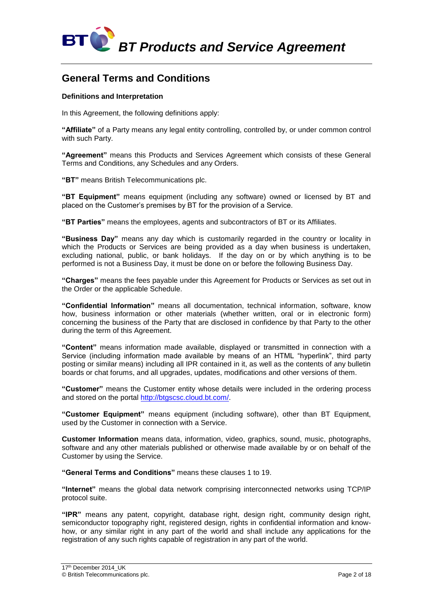

# **General Terms and Conditions**

# **Definitions and Interpretation**

In this Agreement, the following definitions apply:

**"Affiliate"** of a Party means any legal entity controlling, controlled by, or under common control with such Party.

**"Agreement"** means this Products and Services Agreement which consists of these General Terms and Conditions, any Schedules and any Orders.

**"BT"** means British Telecommunications plc.

**"BT Equipment"** means equipment (including any software) owned or licensed by BT and placed on the Customer's premises by BT for the provision of a Service.

**"BT Parties"** means the employees, agents and subcontractors of BT or its Affiliates.

**"Business Day"** means any day which is customarily regarded in the country or locality in which the Products or Services are being provided as a day when business is undertaken, excluding national, public, or bank holidays. If the day on or by which anything is to be performed is not a Business Day, it must be done on or before the following Business Day.

**"Charges"** means the fees payable under this Agreement for Products or Services as set out in the Order or the applicable Schedule.

**"Confidential Information"** means all documentation, technical information, software, know how, business information or other materials (whether written, oral or in electronic form) concerning the business of the Party that are disclosed in confidence by that Party to the other during the term of this Agreement.

**"Content"** means information made available, displayed or transmitted in connection with a Service (including information made available by means of an HTML "hyperlink", third party posting or similar means) including all IPR contained in it, as well as the contents of any bulletin boards or chat forums, and all upgrades, updates, modifications and other versions of them.

**"Customer"** means the Customer entity whose details were included in the ordering process and stored on the portal [http://btgscsc.cloud.bt.com/.](http://btgscsc.cloud.bt.com/)

**"Customer Equipment"** means equipment (including software), other than BT Equipment, used by the Customer in connection with a Service.

**Customer Information** means data, information, video, graphics, sound, music, photographs, software and any other materials published or otherwise made available by or on behalf of the Customer by using the Service.

**"General Terms and Conditions"** means these clauses 1 to 19.

**"Internet"** means the global data network comprising interconnected networks using TCP/IP protocol suite.

**"IPR"** means any patent, copyright, database right, design right, community design right, semiconductor topography right, registered design, rights in confidential information and knowhow, or any similar right in any part of the world and shall include any applications for the registration of any such rights capable of registration in any part of the world.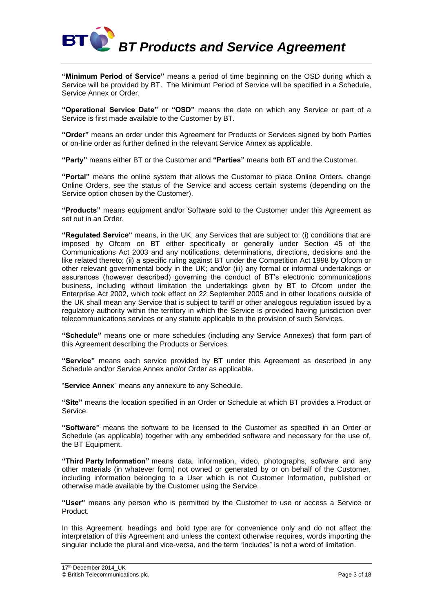

**"Minimum Period of Service"** means a period of time beginning on the OSD during which a Service will be provided by BT. The Minimum Period of Service will be specified in a Schedule, Service Annex or Order.

**"Operational Service Date"** or **"OSD"** means the date on which any Service or part of a Service is first made available to the Customer by BT.

**"Order"** means an order under this Agreement for Products or Services signed by both Parties or on-line order as further defined in the relevant Service Annex as applicable.

**"Party"** means either BT or the Customer and **"Parties"** means both BT and the Customer.

**"Portal"** means the online system that allows the Customer to place Online Orders, change Online Orders, see the status of the Service and access certain systems (depending on the Service option chosen by the Customer).

**"Products"** means equipment and/or Software sold to the Customer under this Agreement as set out in an Order.

**"Regulated Service"** means, in the UK, any Services that are subject to: (i) conditions that are imposed by Ofcom on BT either specifically or generally under Section 45 of the Communications Act 2003 and any notifications, determinations, directions, decisions and the like related thereto; (ii) a specific ruling against BT under the Competition Act 1998 by Ofcom or other relevant governmental body in the UK; and/or (iii) any formal or informal undertakings or assurances (however described) governing the conduct of BT's electronic communications business, including without limitation the undertakings given by BT to Ofcom under the Enterprise Act 2002, which took effect on 22 September 2005 and in other locations outside of the UK shall mean any Service that is subject to tariff or other analogous regulation issued by a regulatory authority within the territory in which the Service is provided having jurisdiction over telecommunications services or any statute applicable to the provision of such Services.

**"Schedule"** means one or more schedules (including any Service Annexes) that form part of this Agreement describing the Products or Services.

**"Service"** means each service provided by BT under this Agreement as described in any Schedule and/or Service Annex and/or Order as applicable.

"**Service Annex**" means any annexure to any Schedule.

**"Site"** means the location specified in an Order or Schedule at which BT provides a Product or Service.

**"Software"** means the software to be licensed to the Customer as specified in an Order or Schedule (as applicable) together with any embedded software and necessary for the use of, the BT Equipment.

**"Third Party Information"** means data, information, video, photographs, software and any other materials (in whatever form) not owned or generated by or on behalf of the Customer, including information belonging to a User which is not Customer Information, published or otherwise made available by the Customer using the Service.

**"User"** means any person who is permitted by the Customer to use or access a Service or Product.

In this Agreement, headings and bold type are for convenience only and do not affect the interpretation of this Agreement and unless the context otherwise requires, words importing the singular include the plural and vice-versa, and the term "includes" is not a word of limitation.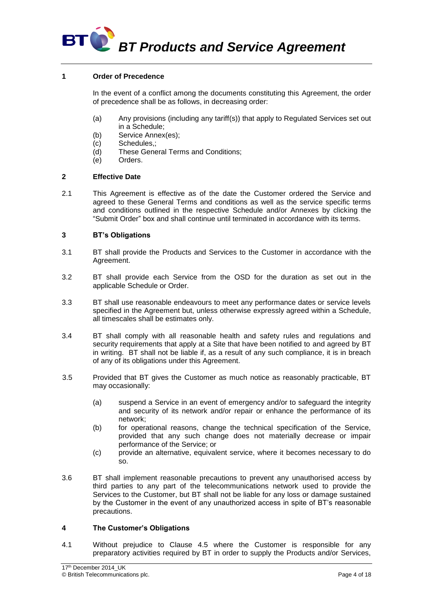

# **1 Order of Precedence**

In the event of a conflict among the documents constituting this Agreement, the order of precedence shall be as follows, in decreasing order:

- (a) Any provisions (including any tariff(s)) that apply to Regulated Services set out in a Schedule;
- (b) Service Annex(es);
- (c) Schedules,;
- (d) These General Terms and Conditions;
- (e) Orders.

# **2 Effective Date**

2.1 This Agreement is effective as of the date the Customer ordered the Service and agreed to these General Terms and conditions as well as the service specific terms and conditions outlined in the respective Schedule and/or Annexes by clicking the "Submit Order" box and shall continue until terminated in accordance with its terms.

# **3 BT's Obligations**

- 3.1 BT shall provide the Products and Services to the Customer in accordance with the Agreement.
- 3.2 BT shall provide each Service from the OSD for the duration as set out in the applicable Schedule or Order.
- 3.3 BT shall use reasonable endeavours to meet any performance dates or service levels specified in the Agreement but, unless otherwise expressly agreed within a Schedule, all timescales shall be estimates only.
- 3.4 BT shall comply with all reasonable health and safety rules and regulations and security requirements that apply at a Site that have been notified to and agreed by BT in writing. BT shall not be liable if, as a result of any such compliance, it is in breach of any of its obligations under this Agreement.
- 3.5 Provided that BT gives the Customer as much notice as reasonably practicable, BT may occasionally:
	- (a) suspend a Service in an event of emergency and/or to safeguard the integrity and security of its network and/or repair or enhance the performance of its network;
	- (b) for operational reasons, change the technical specification of the Service, provided that any such change does not materially decrease or impair performance of the Service; or
	- (c) provide an alternative, equivalent service, where it becomes necessary to do so.
- 3.6 BT shall implement reasonable precautions to prevent any unauthorised access by third parties to any part of the telecommunications network used to provide the Services to the Customer, but BT shall not be liable for any loss or damage sustained by the Customer in the event of any unauthorized access in spite of BT's reasonable precautions.

#### **4 The Customer's Obligations**

4.1 Without prejudice to Clause 4.5 where the Customer is responsible for any preparatory activities required by BT in order to supply the Products and/or Services,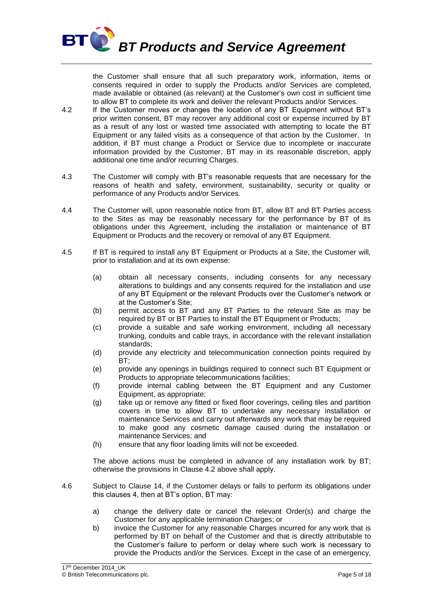

the Customer shall ensure that all such preparatory work, information, items or consents required in order to supply the Products and/or Services are completed, made available or obtained (as relevant) at the Customer's own cost in sufficient time to allow BT to complete its work and deliver the relevant Products and/or Services.

- 4.2 If the Customer moves or changes the location of any BT Equipment without BT's prior written consent, BT may recover any additional cost or expense incurred by BT as a result of any lost or wasted time associated with attempting to locate the BT Equipment or any failed visits as a consequence of that action by the Customer. In addition, if BT must change a Product or Service due to incomplete or inaccurate information provided by the Customer, BT may in its reasonable discretion, apply additional one time and/or recurring Charges.
- 4.3 The Customer will comply with BT's reasonable requests that are necessary for the reasons of health and safety, environment, sustainability, security or quality or performance of any Products and/or Services.
- 4.4 The Customer will, upon reasonable notice from BT, allow BT and BT Parties access to the Sites as may be reasonably necessary for the performance by BT of its obligations under this Agreement, including the installation or maintenance of BT Equipment or Products and the recovery or removal of any BT Equipment.
- 4.5 If BT is required to install any BT Equipment or Products at a Site, the Customer will, prior to installation and at its own expense:
	- (a) obtain all necessary consents, including consents for any necessary alterations to buildings and any consents required for the installation and use of any BT Equipment or the relevant Products over the Customer's network or at the Customer's Site;
	- (b) permit access to BT and any BT Parties to the relevant Site as may be required by BT or BT Parties to install the BT Equipment or Products;
	- (c) provide a suitable and safe working environment, including all necessary trunking, conduits and cable trays, in accordance with the relevant installation standards;
	- (d) provide any electricity and telecommunication connection points required by BT;
	- (e) provide any openings in buildings required to connect such BT Equipment or Products to appropriate telecommunications facilities;
	- (f) provide internal cabling between the BT Equipment and any Customer Equipment, as appropriate;
	- (g) take up or remove any fitted or fixed floor coverings, ceiling tiles and partition covers in time to allow BT to undertake any necessary installation or maintenance Services and carry out afterwards any work that may be required to make good any cosmetic damage caused during the installation or maintenance Services; and
	- (h) ensure that any floor loading limits will not be exceeded.

The above actions must be completed in advance of any installation work by BT; otherwise the provisions in Clause 4.2 above shall apply.

- 4.6 Subject to Clause 14, if the Customer delays or fails to perform its obligations under this clauses 4, then at BT's option, BT may:
	- a) change the delivery date or cancel the relevant Order(s) and charge the Customer for any applicable termination Charges; or
	- b) invoice the Customer for any reasonable Charges incurred for any work that is performed by BT on behalf of the Customer and that is directly attributable to the Customer's failure to perform or delay where such work is necessary to provide the Products and/or the Services. Except in the case of an emergency,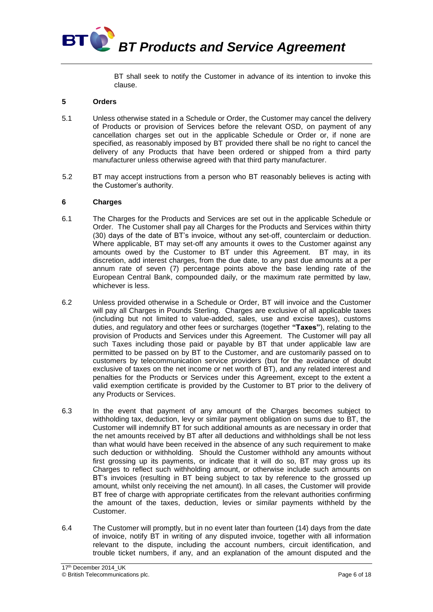

BT shall seek to notify the Customer in advance of its intention to invoke this clause.

# **5 Orders**

- 5.1 Unless otherwise stated in a Schedule or Order, the Customer may cancel the delivery of Products or provision of Services before the relevant OSD, on payment of any cancellation charges set out in the applicable Schedule or Order or, if none are specified, as reasonably imposed by BT provided there shall be no right to cancel the delivery of any Products that have been ordered or shipped from a third party manufacturer unless otherwise agreed with that third party manufacturer.
- 5.2 BT may accept instructions from a person who BT reasonably believes is acting with the Customer's authority.

# **6 Charges**

- 6.1 The Charges for the Products and Services are set out in the applicable Schedule or Order. The Customer shall pay all Charges for the Products and Services within thirty (30) days of the date of BT's invoice, without any set-off, counterclaim or deduction. Where applicable, BT may set-off any amounts it owes to the Customer against any amounts owed by the Customer to BT under this Agreement. BT may, in its discretion, add interest charges, from the due date, to any past due amounts at a per annum rate of seven (7) percentage points above the base lending rate of the European Central Bank, compounded daily, or the maximum rate permitted by law, whichever is less.
- 6.2 Unless provided otherwise in a Schedule or Order, BT will invoice and the Customer will pay all Charges in Pounds Sterling. Charges are exclusive of all applicable taxes (including but not limited to value-added, sales, use and excise taxes), customs duties, and regulatory and other fees or surcharges (together **"Taxes"**), relating to the provision of Products and Services under this Agreement. The Customer will pay all such Taxes including those paid or payable by BT that under applicable law are permitted to be passed on by BT to the Customer, and are customarily passed on to customers by telecommunication service providers (but for the avoidance of doubt exclusive of taxes on the net income or net worth of BT), and any related interest and penalties for the Products or Services under this Agreement, except to the extent a valid exemption certificate is provided by the Customer to BT prior to the delivery of any Products or Services.
- 6.3 In the event that payment of any amount of the Charges becomes subject to withholding tax, deduction, levy or similar payment obligation on sums due to BT, the Customer will indemnify BT for such additional amounts as are necessary in order that the net amounts received by BT after all deductions and withholdings shall be not less than what would have been received in the absence of any such requirement to make such deduction or withholding. Should the Customer withhold any amounts without first grossing up its payments, or indicate that it will do so, BT may gross up its Charges to reflect such withholding amount, or otherwise include such amounts on BT's invoices (resulting in BT being subject to tax by reference to the grossed up amount, whilst only receiving the net amount). In all cases, the Customer will provide BT free of charge with appropriate certificates from the relevant authorities confirming the amount of the taxes, deduction, levies or similar payments withheld by the Customer.
- 6.4 The Customer will promptly, but in no event later than fourteen (14) days from the date of invoice, notify BT in writing of any disputed invoice, together with all information relevant to the dispute, including the account numbers, circuit identification, and trouble ticket numbers, if any, and an explanation of the amount disputed and the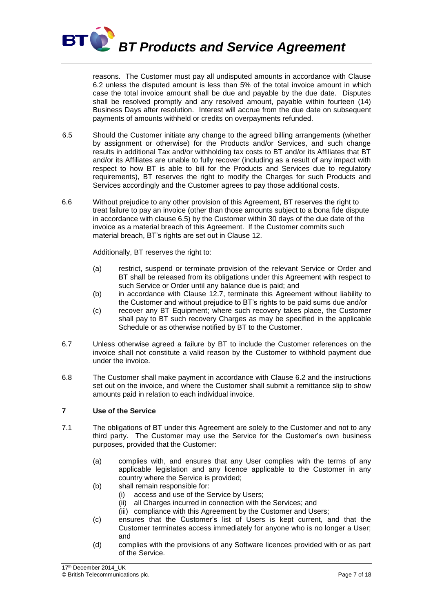

reasons. The Customer must pay all undisputed amounts in accordance with Clause 6.2 unless the disputed amount is less than 5% of the total invoice amount in which case the total invoice amount shall be due and payable by the due date. Disputes shall be resolved promptly and any resolved amount, payable within fourteen (14) Business Days after resolution. Interest will accrue from the due date on subsequent payments of amounts withheld or credits on overpayments refunded.

- 6.5 Should the Customer initiate any change to the agreed billing arrangements (whether by assignment or otherwise) for the Products and/or Services, and such change results in additional Tax and/or withholding tax costs to BT and/or its Affiliates that BT and/or its Affiliates are unable to fully recover (including as a result of any impact with respect to how BT is able to bill for the Products and Services due to regulatory requirements), BT reserves the right to modify the Charges for such Products and Services accordingly and the Customer agrees to pay those additional costs.
- 6.6 Without prejudice to any other provision of this Agreement, BT reserves the right to treat failure to pay an invoice (other than those amounts subject to a bona fide dispute in accordance with clause 6.5) by the Customer within 30 days of the due date of the invoice as a material breach of this Agreement. If the Customer commits such material breach, BT's rights are set out in Clause 12.

Additionally, BT reserves the right to:

- (a) restrict, suspend or terminate provision of the relevant Service or Order and BT shall be released from its obligations under this Agreement with respect to such Service or Order until any balance due is paid; and
- (b) in accordance with Clause 12.7, terminate this Agreement without liability to the Customer and without prejudice to BT's rights to be paid sums due and/or
- (c) recover any BT Equipment; where such recovery takes place, the Customer shall pay to BT such recovery Charges as may be specified in the applicable Schedule or as otherwise notified by BT to the Customer.
- 6.7 Unless otherwise agreed a failure by BT to include the Customer references on the invoice shall not constitute a valid reason by the Customer to withhold payment due under the invoice.
- 6.8 The Customer shall make payment in accordance with Clause 6.2 and the instructions set out on the invoice, and where the Customer shall submit a remittance slip to show amounts paid in relation to each individual invoice.

# **7 Use of the Service**

- 7.1 The obligations of BT under this Agreement are solely to the Customer and not to any third party. The Customer may use the Service for the Customer's own business purposes, provided that the Customer:
	- (a) complies with, and ensures that any User complies with the terms of any applicable legislation and any licence applicable to the Customer in any country where the Service is provided;
	- (b) shall remain responsible for:
		- (i) access and use of the Service by Users;
		- (ii) all Charges incurred in connection with the Services; and
		- (iii) compliance with this Agreement by the Customer and Users;
	- (c) ensures that the Customer's list of Users is kept current, and that the Customer terminates access immediately for anyone who is no longer a User; and
	- (d) complies with the provisions of any Software licences provided with or as part of the Service.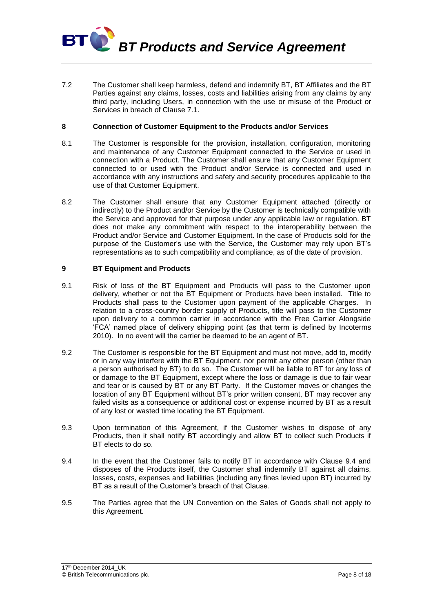

7.2 The Customer shall keep harmless, defend and indemnify BT, BT Affiliates and the BT Parties against any claims, losses, costs and liabilities arising from any claims by any third party, including Users, in connection with the use or misuse of the Product or Services in breach of Clause 7.1.

# **8 Connection of Customer Equipment to the Products and/or Services**

- 8.1 The Customer is responsible for the provision, installation, configuration, monitoring and maintenance of any Customer Equipment connected to the Service or used in connection with a Product. The Customer shall ensure that any Customer Equipment connected to or used with the Product and/or Service is connected and used in accordance with any instructions and safety and security procedures applicable to the use of that Customer Equipment.
- 8.2 The Customer shall ensure that any Customer Equipment attached (directly or indirectly) to the Product and/or Service by the Customer is technically compatible with the Service and approved for that purpose under any applicable law or regulation. BT does not make any commitment with respect to the interoperability between the Product and/or Service and Customer Equipment. In the case of Products sold for the purpose of the Customer's use with the Service, the Customer may rely upon BT's representations as to such compatibility and compliance, as of the date of provision.

# **9 BT Equipment and Products**

- 9.1 Risk of loss of the BT Equipment and Products will pass to the Customer upon delivery, whether or not the BT Equipment or Products have been installed. Title to Products shall pass to the Customer upon payment of the applicable Charges. In relation to a cross-country border supply of Products, title will pass to the Customer upon delivery to a common carrier in accordance with the Free Carrier Alongside 'FCA' named place of delivery shipping point (as that term is defined by Incoterms 2010). In no event will the carrier be deemed to be an agent of BT.
- 9.2 The Customer is responsible for the BT Equipment and must not move, add to, modify or in any way interfere with the BT Equipment, nor permit any other person (other than a person authorised by BT) to do so. The Customer will be liable to BT for any loss of or damage to the BT Equipment, except where the loss or damage is due to fair wear and tear or is caused by BT or any BT Party. If the Customer moves or changes the location of any BT Equipment without BT's prior written consent, BT may recover any failed visits as a consequence or additional cost or expense incurred by BT as a result of any lost or wasted time locating the BT Equipment.
- 9.3 Upon termination of this Agreement, if the Customer wishes to dispose of any Products, then it shall notify BT accordingly and allow BT to collect such Products if BT elects to do so.
- 9.4 In the event that the Customer fails to notify BT in accordance with Clause 9.4 and disposes of the Products itself, the Customer shall indemnify BT against all claims, losses, costs, expenses and liabilities (including any fines levied upon BT) incurred by BT as a result of the Customer's breach of that Clause.
- 9.5 The Parties agree that the UN Convention on the Sales of Goods shall not apply to this Agreement.

<sup>17&</sup>lt;sup>th</sup> December 2014\_UK © British Telecommunications plc. Page 8 of 18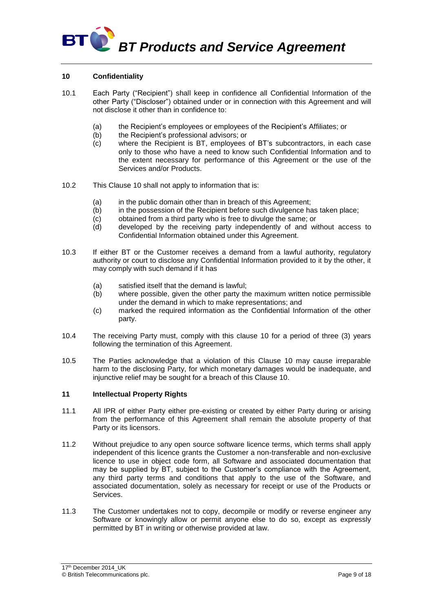# **BT BT Products and Service Agreement**

# **10 Confidentiality**

- 10.1 Each Party ("Recipient") shall keep in confidence all Confidential Information of the other Party ("Discloser") obtained under or in connection with this Agreement and will not disclose it other than in confidence to:
	- (a) the Recipient's employees or employees of the Recipient's Affiliates; or
	- (b) the Recipient's professional advisors; or
	- (c) where the Recipient is BT, employees of BT's subcontractors, in each case only to those who have a need to know such Confidential Information and to the extent necessary for performance of this Agreement or the use of the Services and/or Products.
- 10.2 This Clause 10 shall not apply to information that is:
	- (a) in the public domain other than in breach of this Agreement:
	- $(b)$  in the possession of the Recipient before such divulgence has taken place;
	- $(c)$  obtained from a third party who is free to divulge the same; or
	- (d) developed by the receiving party independently of and without access to Confidential Information obtained under this Agreement.
- 10.3 If either BT or the Customer receives a demand from a lawful authority, regulatory authority or court to disclose any Confidential Information provided to it by the other, it may comply with such demand if it has
	- (a) satisfied itself that the demand is lawful;
	- (b) where possible, given the other party the maximum written notice permissible under the demand in which to make representations; and
	- (c) marked the required information as the Confidential Information of the other party.
- 10.4 The receiving Party must, comply with this clause 10 for a period of three (3) years following the termination of this Agreement.
- 10.5 The Parties acknowledge that a violation of this Clause 10 may cause irreparable harm to the disclosing Party, for which monetary damages would be inadequate, and injunctive relief may be sought for a breach of this Clause 10.

# **11 Intellectual Property Rights**

- 11.1 All IPR of either Party either pre-existing or created by either Party during or arising from the performance of this Agreement shall remain the absolute property of that Party or its licensors.
- 11.2 Without prejudice to any open source software licence terms, which terms shall apply independent of this licence grants the Customer a non-transferable and non-exclusive licence to use in object code form, all Software and associated documentation that may be supplied by BT, subject to the Customer's compliance with the Agreement, any third party terms and conditions that apply to the use of the Software, and associated documentation, solely as necessary for receipt or use of the Products or Services.
- 11.3 The Customer undertakes not to copy, decompile or modify or reverse engineer any Software or knowingly allow or permit anyone else to do so, except as expressly permitted by BT in writing or otherwise provided at law.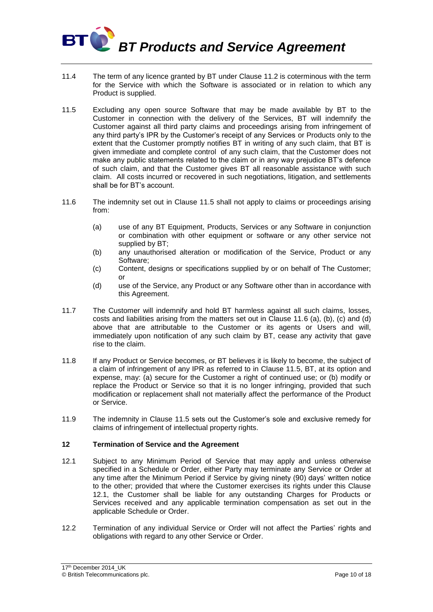

- 11.4 The term of any licence granted by BT under Clause 11.2 is coterminous with the term for the Service with which the Software is associated or in relation to which any Product is supplied.
- 11.5 Excluding any open source Software that may be made available by BT to the Customer in connection with the delivery of the Services, BT will indemnify the Customer against all third party claims and proceedings arising from infringement of any third party's IPR by the Customer's receipt of any Services or Products only to the extent that the Customer promptly notifies BT in writing of any such claim, that BT is given immediate and complete control of any such claim, that the Customer does not make any public statements related to the claim or in any way prejudice BT's defence of such claim, and that the Customer gives BT all reasonable assistance with such claim. All costs incurred or recovered in such negotiations, litigation, and settlements shall be for BT's account.
- 11.6 The indemnity set out in Clause 11.5 shall not apply to claims or proceedings arising from:
	- (a) use of any BT Equipment, Products, Services or any Software in conjunction or combination with other equipment or software or any other service not supplied by BT;
	- (b) any unauthorised alteration or modification of the Service, Product or any Software;
	- (c) Content, designs or specifications supplied by or on behalf of The Customer; or
	- (d) use of the Service, any Product or any Software other than in accordance with this Agreement.
- 11.7 The Customer will indemnify and hold BT harmless against all such claims, losses, costs and liabilities arising from the matters set out in Clause 11.6 (a), (b), (c) and (d) above that are attributable to the Customer or its agents or Users and will, immediately upon notification of any such claim by BT, cease any activity that gave rise to the claim.
- 11.8 If any Product or Service becomes, or BT believes it is likely to become, the subject of a claim of infringement of any IPR as referred to in Clause 11.5, BT, at its option and expense, may: (a) secure for the Customer a right of continued use; or (b) modify or replace the Product or Service so that it is no longer infringing, provided that such modification or replacement shall not materially affect the performance of the Product or Service.
- 11.9 The indemnity in Clause 11.5 sets out the Customer's sole and exclusive remedy for claims of infringement of intellectual property rights.

# **12 Termination of Service and the Agreement**

- 12.1 Subject to any Minimum Period of Service that may apply and unless otherwise specified in a Schedule or Order, either Party may terminate any Service or Order at any time after the Minimum Period if Service by giving ninety (90) days' written notice to the other; provided that where the Customer exercises its rights under this Clause 12.1, the Customer shall be liable for any outstanding Charges for Products or Services received and any applicable termination compensation as set out in the applicable Schedule or Order.
- 12.2 Termination of any individual Service or Order will not affect the Parties' rights and obligations with regard to any other Service or Order.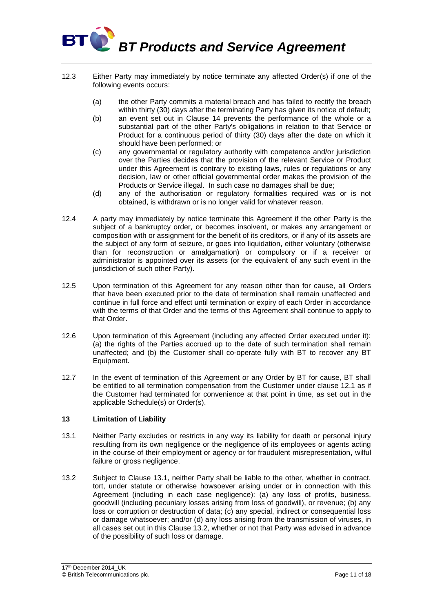

- 12.3 Either Party may immediately by notice terminate any affected Order(s) if one of the following events occurs:
	- (a) the other Party commits a material breach and has failed to rectify the breach within thirty (30) days after the terminating Party has given its notice of default;
	- (b) an event set out in Clause 14 prevents the performance of the whole or a substantial part of the other Party's obligations in relation to that Service or Product for a continuous period of thirty (30) days after the date on which it should have been performed; or
	- (c) any governmental or regulatory authority with competence and/or jurisdiction over the Parties decides that the provision of the relevant Service or Product under this Agreement is contrary to existing laws, rules or regulations or any decision, law or other official governmental order makes the provision of the Products or Service illegal. In such case no damages shall be due;
	- (d) any of the authorisation or regulatory formalities required was or is not obtained, is withdrawn or is no longer valid for whatever reason.
- 12.4 A party may immediately by notice terminate this Agreement if the other Party is the subject of a bankruptcy order, or becomes insolvent, or makes any arrangement or composition with or assignment for the benefit of its creditors, or if any of its assets are the subject of any form of seizure, or goes into liquidation, either voluntary (otherwise than for reconstruction or amalgamation) or compulsory or if a receiver or administrator is appointed over its assets (or the equivalent of any such event in the jurisdiction of such other Party).
- 12.5 Upon termination of this Agreement for any reason other than for cause, all Orders that have been executed prior to the date of termination shall remain unaffected and continue in full force and effect until termination or expiry of each Order in accordance with the terms of that Order and the terms of this Agreement shall continue to apply to that Order.
- 12.6 Upon termination of this Agreement (including any affected Order executed under it): (a) the rights of the Parties accrued up to the date of such termination shall remain unaffected; and (b) the Customer shall co-operate fully with BT to recover any BT Equipment.
- 12.7 In the event of termination of this Agreement or any Order by BT for cause, BT shall be entitled to all termination compensation from the Customer under clause 12.1 as if the Customer had terminated for convenience at that point in time, as set out in the applicable Schedule(s) or Order(s).

# **13 Limitation of Liability**

- 13.1 Neither Party excludes or restricts in any way its liability for death or personal injury resulting from its own negligence or the negligence of its employees or agents acting in the course of their employment or agency or for fraudulent misrepresentation, wilful failure or gross negligence.
- 13.2 Subject to Clause 13.1, neither Party shall be liable to the other, whether in contract, tort, under statute or otherwise howsoever arising under or in connection with this Agreement (including in each case negligence): (a) any loss of profits, business, goodwill (including pecuniary losses arising from loss of goodwill), or revenue; (b) any loss or corruption or destruction of data; (c) any special, indirect or consequential loss or damage whatsoever; and/or (d) any loss arising from the transmission of viruses, in all cases set out in this Clause 13.2, whether or not that Party was advised in advance of the possibility of such loss or damage.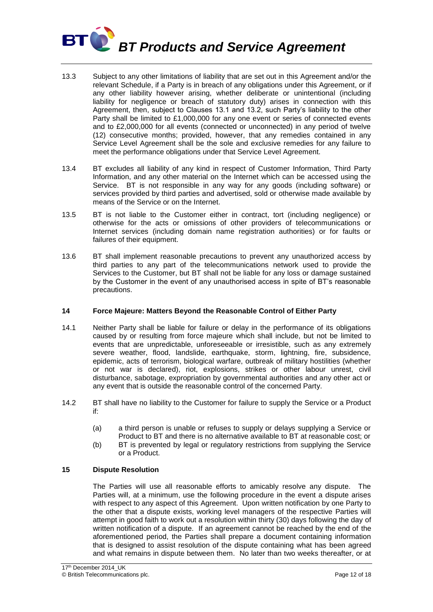

- 13.3 Subject to any other limitations of liability that are set out in this Agreement and/or the relevant Schedule, if a Party is in breach of any obligations under this Agreement, or if any other liability however arising, whether deliberate or unintentional (including liability for negligence or breach of statutory duty) arises in connection with this Agreement, then, subject to Clauses 13.1 and 13.2, such Party's liability to the other Party shall be limited to £1,000,000 for any one event or series of connected events and to £2,000,000 for all events (connected or unconnected) in any period of twelve (12) consecutive months; provided, however, that any remedies contained in any Service Level Agreement shall be the sole and exclusive remedies for any failure to meet the performance obligations under that Service Level Agreement.
- 13.4 BT excludes all liability of any kind in respect of Customer Information, Third Party Information, and any other material on the Internet which can be accessed using the Service. BT is not responsible in any way for any goods (including software) or services provided by third parties and advertised, sold or otherwise made available by means of the Service or on the Internet.
- 13.5 BT is not liable to the Customer either in contract, tort (including negligence) or otherwise for the acts or omissions of other providers of telecommunications or Internet services (including domain name registration authorities) or for faults or failures of their equipment.
- 13.6 BT shall implement reasonable precautions to prevent any unauthorized access by third parties to any part of the telecommunications network used to provide the Services to the Customer, but BT shall not be liable for any loss or damage sustained by the Customer in the event of any unauthorised access in spite of BT's reasonable precautions.

# **14 Force Majeure: Matters Beyond the Reasonable Control of Either Party**

- 14.1 Neither Party shall be liable for failure or delay in the performance of its obligations caused by or resulting from force majeure which shall include, but not be limited to events that are unpredictable, unforeseeable or irresistible, such as any extremely severe weather, flood, landslide, earthquake, storm, lightning, fire, subsidence, epidemic, acts of terrorism, biological warfare, outbreak of military hostilities (whether or not war is declared), riot, explosions, strikes or other labour unrest, civil disturbance, sabotage, expropriation by governmental authorities and any other act or any event that is outside the reasonable control of the concerned Party.
- 14.2 BT shall have no liability to the Customer for failure to supply the Service or a Product if:
	- (a) a third person is unable or refuses to supply or delays supplying a Service or Product to BT and there is no alternative available to BT at reasonable cost; or
	- (b) BT is prevented by legal or regulatory restrictions from supplying the Service or a Product.

# **15 Dispute Resolution**

The Parties will use all reasonable efforts to amicably resolve any dispute. The Parties will, at a minimum, use the following procedure in the event a dispute arises with respect to any aspect of this Agreement. Upon written notification by one Party to the other that a dispute exists, working level managers of the respective Parties will attempt in good faith to work out a resolution within thirty (30) days following the day of written notification of a dispute. If an agreement cannot be reached by the end of the aforementioned period, the Parties shall prepare a document containing information that is designed to assist resolution of the dispute containing what has been agreed and what remains in dispute between them. No later than two weeks thereafter, or at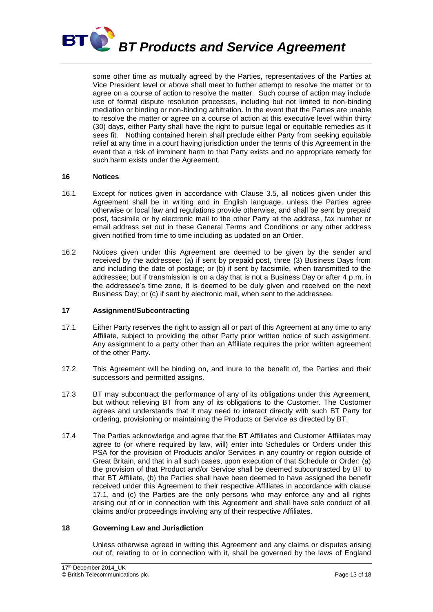

some other time as mutually agreed by the Parties, representatives of the Parties at Vice President level or above shall meet to further attempt to resolve the matter or to agree on a course of action to resolve the matter. Such course of action may include use of formal dispute resolution processes, including but not limited to non-binding mediation or binding or non-binding arbitration. In the event that the Parties are unable to resolve the matter or agree on a course of action at this executive level within thirty (30) days, either Party shall have the right to pursue legal or equitable remedies as it sees fit. Nothing contained herein shall preclude either Party from seeking equitable relief at any time in a court having jurisdiction under the terms of this Agreement in the event that a risk of imminent harm to that Party exists and no appropriate remedy for such harm exists under the Agreement.

# **16 Notices**

- 16.1 Except for notices given in accordance with Clause 3.5, all notices given under this Agreement shall be in writing and in English language, unless the Parties agree otherwise or local law and regulations provide otherwise, and shall be sent by prepaid post, facsimile or by electronic mail to the other Party at the address, fax number or email address set out in these General Terms and Conditions or any other address given notified from time to time including as updated on an Order.
- 16.2 Notices given under this Agreement are deemed to be given by the sender and received by the addressee: (a) if sent by prepaid post, three (3) Business Days from and including the date of postage; or (b) if sent by facsimile, when transmitted to the addressee; but if transmission is on a day that is not a Business Day or after 4 p.m. in the addressee's time zone, it is deemed to be duly given and received on the next Business Day; or (c) if sent by electronic mail, when sent to the addressee.

#### **17 Assignment/Subcontracting**

- 17.1 Either Party reserves the right to assign all or part of this Agreement at any time to any Affiliate, subject to providing the other Party prior written notice of such assignment. Any assignment to a party other than an Affiliate requires the prior written agreement of the other Party.
- 17.2 This Agreement will be binding on, and inure to the benefit of, the Parties and their successors and permitted assigns.
- 17.3 BT may subcontract the performance of any of its obligations under this Agreement, but without relieving BT from any of its obligations to the Customer. The Customer agrees and understands that it may need to interact directly with such BT Party for ordering, provisioning or maintaining the Products or Service as directed by BT.
- 17.4 The Parties acknowledge and agree that the BT Affiliates and Customer Affiliates may agree to (or where required by law, will) enter into Schedules or Orders under this PSA for the provision of Products and/or Services in any country or region outside of Great Britain, and that in all such cases, upon execution of that Schedule or Order: (a) the provision of that Product and/or Service shall be deemed subcontracted by BT to that BT Affiliate, (b) the Parties shall have been deemed to have assigned the benefit received under this Agreement to their respective Affiliates in accordance with clause 17.1, and (c) the Parties are the only persons who may enforce any and all rights arising out of or in connection with this Agreement and shall have sole conduct of all claims and/or proceedings involving any of their respective Affiliates.

#### **18 Governing Law and Jurisdiction**

Unless otherwise agreed in writing this Agreement and any claims or disputes arising out of, relating to or in connection with it, shall be governed by the laws of England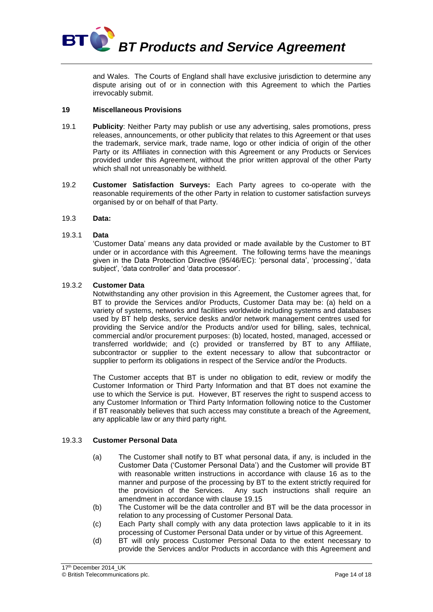

and Wales. The Courts of England shall have exclusive jurisdiction to determine any dispute arising out of or in connection with this Agreement to which the Parties irrevocably submit.

# **19 Miscellaneous Provisions**

- 19.1 **Publicity**: Neither Party may publish or use any advertising, sales promotions, press releases, announcements, or other publicity that relates to this Agreement or that uses the trademark, service mark, trade name, logo or other indicia of origin of the other Party or its Affiliates in connection with this Agreement or any Products or Services provided under this Agreement, without the prior written approval of the other Party which shall not unreasonably be withheld.
- 19.2 **Customer Satisfaction Surveys:** Each Party agrees to co-operate with the reasonable requirements of the other Party in relation to customer satisfaction surveys organised by or on behalf of that Party.
- 19.3 **Data:**

# 19.3.1 **Data**

'Customer Data' means any data provided or made available by the Customer to BT under or in accordance with this Agreement. The following terms have the meanings given in the Data Protection Directive (95/46/EC): 'personal data', 'processing', 'data subject', 'data controller' and 'data processor'.

# 19.3.2 **Customer Data**

Notwithstanding any other provision in this Agreement, the Customer agrees that, for BT to provide the Services and/or Products, Customer Data may be: (a) held on a variety of systems, networks and facilities worldwide including systems and databases used by BT help desks, service desks and/or network management centres used for providing the Service and/or the Products and/or used for billing, sales, technical, commercial and/or procurement purposes: (b) located, hosted, managed, accessed or transferred worldwide; and (c) provided or transferred by BT to any Affiliate, subcontractor or supplier to the extent necessary to allow that subcontractor or supplier to perform its obligations in respect of the Service and/or the Products.

The Customer accepts that BT is under no obligation to edit, review or modify the Customer Information or Third Party Information and that BT does not examine the use to which the Service is put. However, BT reserves the right to suspend access to any Customer Information or Third Party Information following notice to the Customer if BT reasonably believes that such access may constitute a breach of the Agreement, any applicable law or any third party right.

# 19.3.3 **Customer Personal Data**

- (a) The Customer shall notify to BT what personal data, if any, is included in the Customer Data ('Customer Personal Data') and the Customer will provide BT with reasonable written instructions in accordance with clause 16 as to the manner and purpose of the processing by BT to the extent strictly required for the provision of the Services. Any such instructions shall require an amendment in accordance with clause 19.15
- (b) The Customer will be the data controller and BT will be the data processor in relation to any processing of Customer Personal Data.
- (c) Each Party shall comply with any data protection laws applicable to it in its processing of Customer Personal Data under or by virtue of this Agreement.
- (d) BT will only process Customer Personal Data to the extent necessary to provide the Services and/or Products in accordance with this Agreement and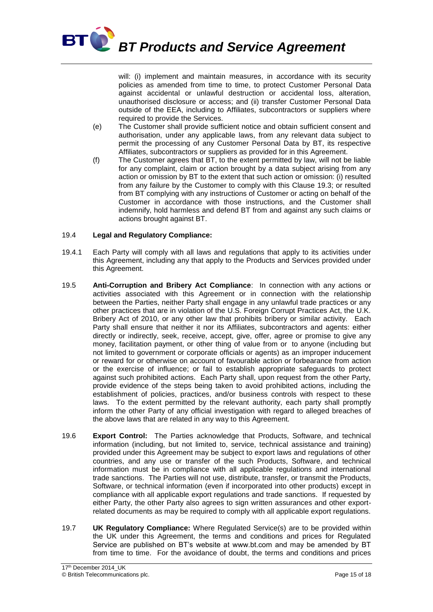

will: (i) implement and maintain measures, in accordance with its security policies as amended from time to time, to protect Customer Personal Data against accidental or unlawful destruction or accidental loss, alteration, unauthorised disclosure or access; and (ii) transfer Customer Personal Data outside of the EEA, including to Affiliates, subcontractors or suppliers where required to provide the Services.

- (e) The Customer shall provide sufficient notice and obtain sufficient consent and authorisation, under any applicable laws, from any relevant data subject to permit the processing of any Customer Personal Data by BT, its respective Affiliates, subcontractors or suppliers as provided for in this Agreement.
- (f) The Customer agrees that BT, to the extent permitted by law, will not be liable for any complaint, claim or action brought by a data subject arising from any action or omission by BT to the extent that such action or omission: (i) resulted from any failure by the Customer to comply with this Clause 19.3; or resulted from BT complying with any instructions of Customer or acting on behalf of the Customer in accordance with those instructions, and the Customer shall indemnify, hold harmless and defend BT from and against any such claims or actions brought against BT.

# 19.4 **Legal and Regulatory Compliance:**

- 19.4.1 Each Party will comply with all laws and regulations that apply to its activities under this Agreement, including any that apply to the Products and Services provided under this Agreement.
- 19.5 **Anti-Corruption and Bribery Act Compliance**: In connection with any actions or activities associated with this Agreement or in connection with the relationship between the Parties, neither Party shall engage in any unlawful trade practices or any other practices that are in violation of the U.S. Foreign Corrupt Practices Act, the U.K. Bribery Act of 2010, or any other law that prohibits bribery or similar activity. Each Party shall ensure that neither it nor its Affiliates, subcontractors and agents: either directly or indirectly, seek, receive, accept, give, offer, agree or promise to give any money, facilitation payment, or other thing of value from or to anyone (including but not limited to government or corporate officials or agents) as an improper inducement or reward for or otherwise on account of favourable action or forbearance from action or the exercise of influence; or fail to establish appropriate safeguards to protect against such prohibited actions. Each Party shall, upon request from the other Party, provide evidence of the steps being taken to avoid prohibited actions, including the establishment of policies, practices, and/or business controls with respect to these laws. To the extent permitted by the relevant authority, each party shall promptly inform the other Party of any official investigation with regard to alleged breaches of the above laws that are related in any way to this Agreement.
- 19.6 **Export Control:** The Parties acknowledge that Products, Software, and technical information (including, but not limited to, service, technical assistance and training) provided under this Agreement may be subject to export laws and regulations of other countries, and any use or transfer of the such Products, Software, and technical information must be in compliance with all applicable regulations and international trade sanctions. The Parties will not use, distribute, transfer, or transmit the Products, Software, or technical information (even if incorporated into other products) except in compliance with all applicable export regulations and trade sanctions. If requested by either Party, the other Party also agrees to sign written assurances and other exportrelated documents as may be required to comply with all applicable export regulations.
- 19.7 **UK Regulatory Compliance:** Where Regulated Service(s) are to be provided within the UK under this Agreement, the terms and conditions and prices for Regulated Service are published on BT's website at www.bt.com and may be amended by BT from time to time. For the avoidance of doubt, the terms and conditions and prices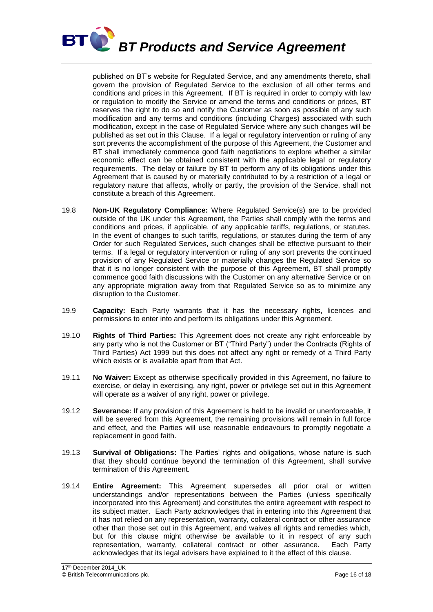

published on BT's website for Regulated Service, and any amendments thereto, shall govern the provision of Regulated Service to the exclusion of all other terms and conditions and prices in this Agreement. If BT is required in order to comply with law or regulation to modify the Service or amend the terms and conditions or prices, BT reserves the right to do so and notify the Customer as soon as possible of any such modification and any terms and conditions (including Charges) associated with such modification, except in the case of Regulated Service where any such changes will be published as set out in this Clause. If a legal or regulatory intervention or ruling of any sort prevents the accomplishment of the purpose of this Agreement, the Customer and BT shall immediately commence good faith negotiations to explore whether a similar economic effect can be obtained consistent with the applicable legal or regulatory requirements. The delay or failure by BT to perform any of its obligations under this Agreement that is caused by or materially contributed to by a restriction of a legal or regulatory nature that affects, wholly or partly, the provision of the Service, shall not constitute a breach of this Agreement.

- 19.8 **Non-UK Regulatory Compliance:** Where Regulated Service(s) are to be provided outside of the UK under this Agreement, the Parties shall comply with the terms and conditions and prices, if applicable, of any applicable tariffs, regulations, or statutes. In the event of changes to such tariffs, regulations, or statutes during the term of any Order for such Regulated Services, such changes shall be effective pursuant to their terms. If a legal or regulatory intervention or ruling of any sort prevents the continued provision of any Regulated Service or materially changes the Regulated Service so that it is no longer consistent with the purpose of this Agreement, BT shall promptly commence good faith discussions with the Customer on any alternative Service or on any appropriate migration away from that Regulated Service so as to minimize any disruption to the Customer.
- 19.9 **Capacity:** Each Party warrants that it has the necessary rights, licences and permissions to enter into and perform its obligations under this Agreement.
- 19.10 **Rights of Third Parties:** This Agreement does not create any right enforceable by any party who is not the Customer or BT ("Third Party") under the Contracts (Rights of Third Parties) Act 1999 but this does not affect any right or remedy of a Third Party which exists or is available apart from that Act.
- 19.11 **No Waiver:** Except as otherwise specifically provided in this Agreement, no failure to exercise, or delay in exercising, any right, power or privilege set out in this Agreement will operate as a waiver of any right, power or privilege.
- 19.12 **Severance:** If any provision of this Agreement is held to be invalid or unenforceable, it will be severed from this Agreement, the remaining provisions will remain in full force and effect, and the Parties will use reasonable endeavours to promptly negotiate a replacement in good faith.
- 19.13 **Survival of Obligations:** The Parties' rights and obligations, whose nature is such that they should continue beyond the termination of this Agreement, shall survive termination of this Agreement.
- 19.14 **Entire Agreement:** This Agreement supersedes all prior oral or written understandings and/or representations between the Parties (unless specifically incorporated into this Agreement) and constitutes the entire agreement with respect to its subject matter. Each Party acknowledges that in entering into this Agreement that it has not relied on any representation, warranty, collateral contract or other assurance other than those set out in this Agreement, and waives all rights and remedies which, but for this clause might otherwise be available to it in respect of any such representation, warranty, collateral contract or other assurance. Each Party acknowledges that its legal advisers have explained to it the effect of this clause.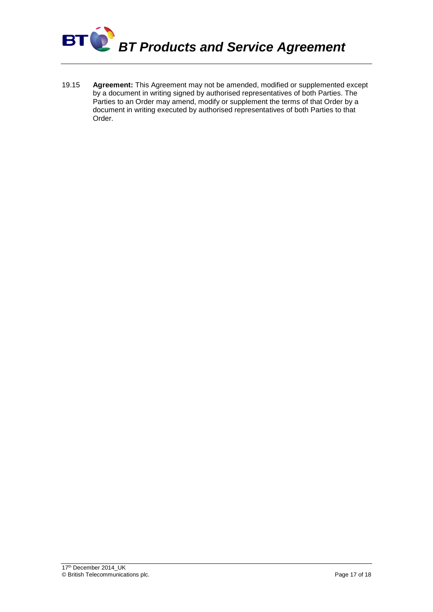

19.15 **Agreement:** This Agreement may not be amended, modified or supplemented except by a document in writing signed by authorised representatives of both Parties. The Parties to an Order may amend, modify or supplement the terms of that Order by a document in writing executed by authorised representatives of both Parties to that Order.